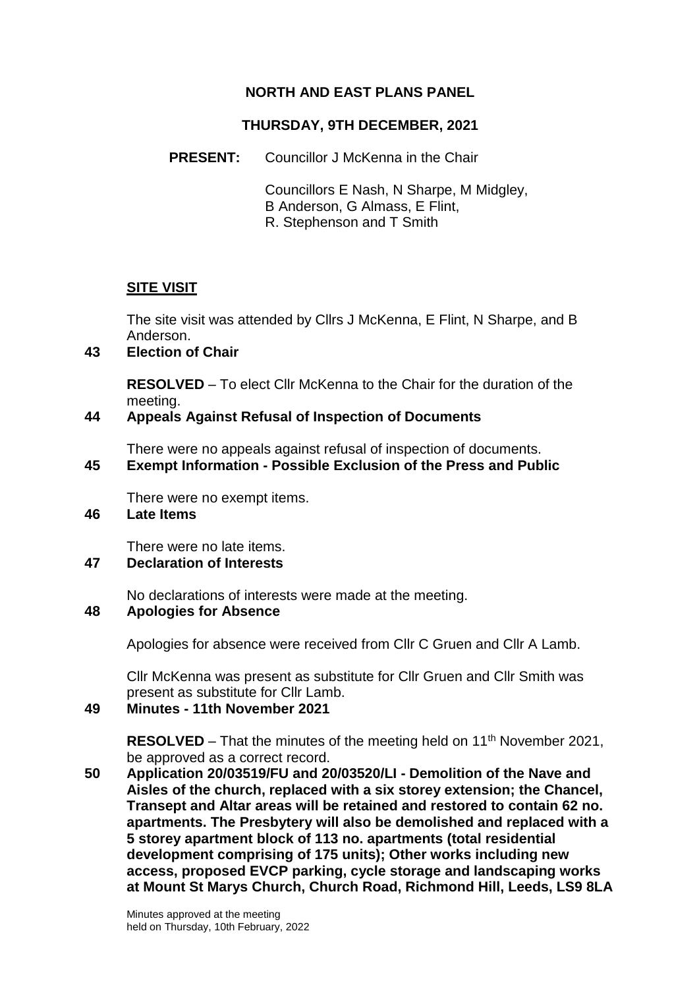# **NORTH AND EAST PLANS PANEL**

### **THURSDAY, 9TH DECEMBER, 2021**

**PRESENT:** Councillor J McKenna in the Chair

Councillors E Nash, N Sharpe, M Midgley, B Anderson, G Almass, E Flint, R. Stephenson and T Smith

# **SITE VISIT**

The site visit was attended by Cllrs J McKenna, E Flint, N Sharpe, and B Anderson.

### **43 Election of Chair**

**RESOLVED** – To elect Cllr McKenna to the Chair for the duration of the meeting.

### **44 Appeals Against Refusal of Inspection of Documents**

There were no appeals against refusal of inspection of documents.

# **45 Exempt Information - Possible Exclusion of the Press and Public**

There were no exempt items.

# **46 Late Items**

There were no late items.

### **47 Declaration of Interests**

No declarations of interests were made at the meeting.

### **48 Apologies for Absence**

Apologies for absence were received from Cllr C Gruen and Cllr A Lamb.

Cllr McKenna was present as substitute for Cllr Gruen and Cllr Smith was present as substitute for Cllr Lamb.

#### **49 Minutes - 11th November 2021**

**RESOLVED** – That the minutes of the meeting held on 11<sup>th</sup> November 2021, be approved as a correct record.

**50 Application 20/03519/FU and 20/03520/LI - Demolition of the Nave and Aisles of the church, replaced with a six storey extension; the Chancel, Transept and Altar areas will be retained and restored to contain 62 no. apartments. The Presbytery will also be demolished and replaced with a 5 storey apartment block of 113 no. apartments (total residential development comprising of 175 units); Other works including new access, proposed EVCP parking, cycle storage and landscaping works at Mount St Marys Church, Church Road, Richmond Hill, Leeds, LS9 8LA**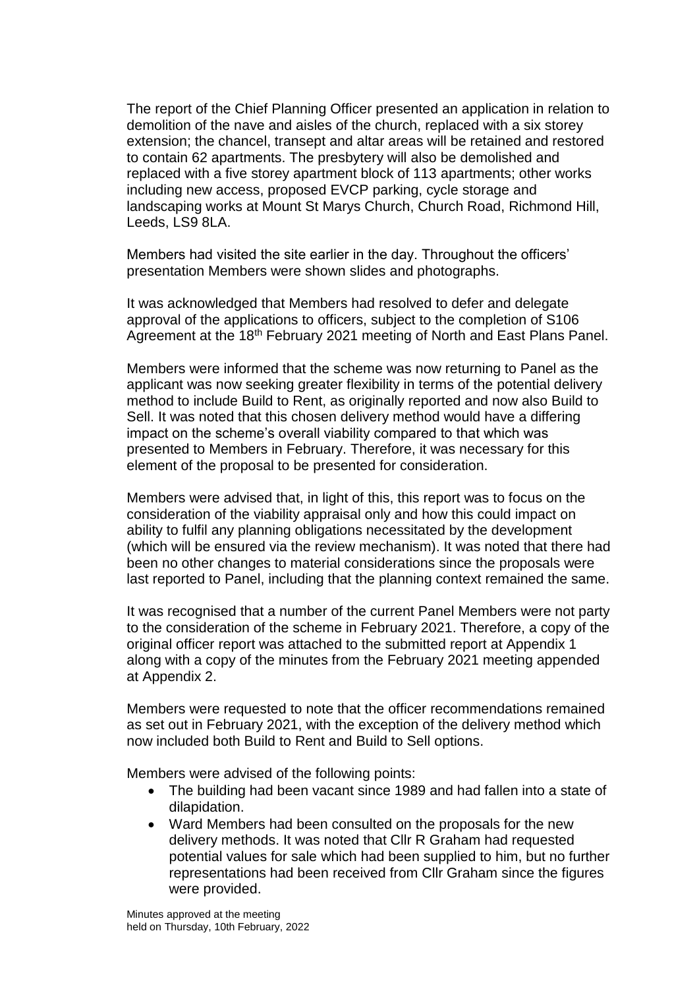The report of the Chief Planning Officer presented an application in relation to demolition of the nave and aisles of the church, replaced with a six storey extension; the chancel, transept and altar areas will be retained and restored to contain 62 apartments. The presbytery will also be demolished and replaced with a five storey apartment block of 113 apartments; other works including new access, proposed EVCP parking, cycle storage and landscaping works at Mount St Marys Church, Church Road, Richmond Hill, Leeds, LS9 8LA.

Members had visited the site earlier in the day. Throughout the officers' presentation Members were shown slides and photographs.

It was acknowledged that Members had resolved to defer and delegate approval of the applications to officers, subject to the completion of S106 Agreement at the 18<sup>th</sup> February 2021 meeting of North and East Plans Panel.

Members were informed that the scheme was now returning to Panel as the applicant was now seeking greater flexibility in terms of the potential delivery method to include Build to Rent, as originally reported and now also Build to Sell. It was noted that this chosen delivery method would have a differing impact on the scheme's overall viability compared to that which was presented to Members in February. Therefore, it was necessary for this element of the proposal to be presented for consideration.

Members were advised that, in light of this, this report was to focus on the consideration of the viability appraisal only and how this could impact on ability to fulfil any planning obligations necessitated by the development (which will be ensured via the review mechanism). It was noted that there had been no other changes to material considerations since the proposals were last reported to Panel, including that the planning context remained the same.

It was recognised that a number of the current Panel Members were not party to the consideration of the scheme in February 2021. Therefore, a copy of the original officer report was attached to the submitted report at Appendix 1 along with a copy of the minutes from the February 2021 meeting appended at Appendix 2.

Members were requested to note that the officer recommendations remained as set out in February 2021, with the exception of the delivery method which now included both Build to Rent and Build to Sell options.

Members were advised of the following points:

- The building had been vacant since 1989 and had fallen into a state of dilapidation.
- Ward Members had been consulted on the proposals for the new delivery methods. It was noted that Cllr R Graham had requested potential values for sale which had been supplied to him, but no further representations had been received from Cllr Graham since the figures were provided.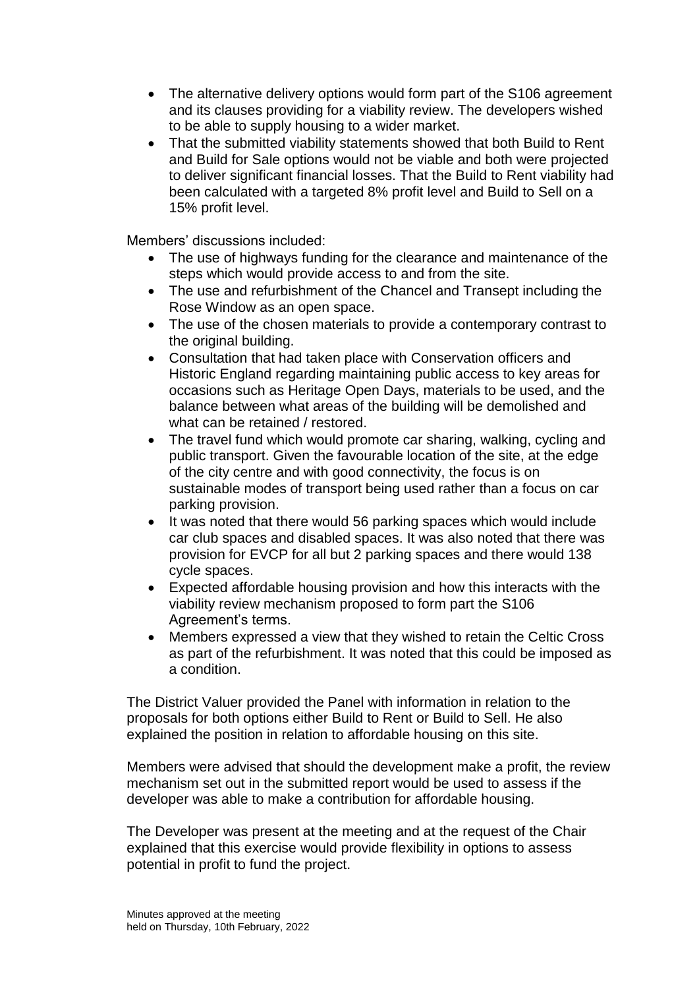- The alternative delivery options would form part of the S106 agreement and its clauses providing for a viability review. The developers wished to be able to supply housing to a wider market.
- That the submitted viability statements showed that both Build to Rent and Build for Sale options would not be viable and both were projected to deliver significant financial losses. That the Build to Rent viability had been calculated with a targeted 8% profit level and Build to Sell on a 15% profit level.

Members' discussions included:

- The use of highways funding for the clearance and maintenance of the steps which would provide access to and from the site.
- The use and refurbishment of the Chancel and Transept including the Rose Window as an open space.
- The use of the chosen materials to provide a contemporary contrast to the original building.
- Consultation that had taken place with Conservation officers and Historic England regarding maintaining public access to key areas for occasions such as Heritage Open Days, materials to be used, and the balance between what areas of the building will be demolished and what can be retained / restored.
- The travel fund which would promote car sharing, walking, cycling and public transport. Given the favourable location of the site, at the edge of the city centre and with good connectivity, the focus is on sustainable modes of transport being used rather than a focus on car parking provision.
- It was noted that there would 56 parking spaces which would include car club spaces and disabled spaces. It was also noted that there was provision for EVCP for all but 2 parking spaces and there would 138 cycle spaces.
- Expected affordable housing provision and how this interacts with the viability review mechanism proposed to form part the S106 Agreement's terms.
- Members expressed a view that they wished to retain the Celtic Cross as part of the refurbishment. It was noted that this could be imposed as a condition.

The District Valuer provided the Panel with information in relation to the proposals for both options either Build to Rent or Build to Sell. He also explained the position in relation to affordable housing on this site.

Members were advised that should the development make a profit, the review mechanism set out in the submitted report would be used to assess if the developer was able to make a contribution for affordable housing.

The Developer was present at the meeting and at the request of the Chair explained that this exercise would provide flexibility in options to assess potential in profit to fund the project.